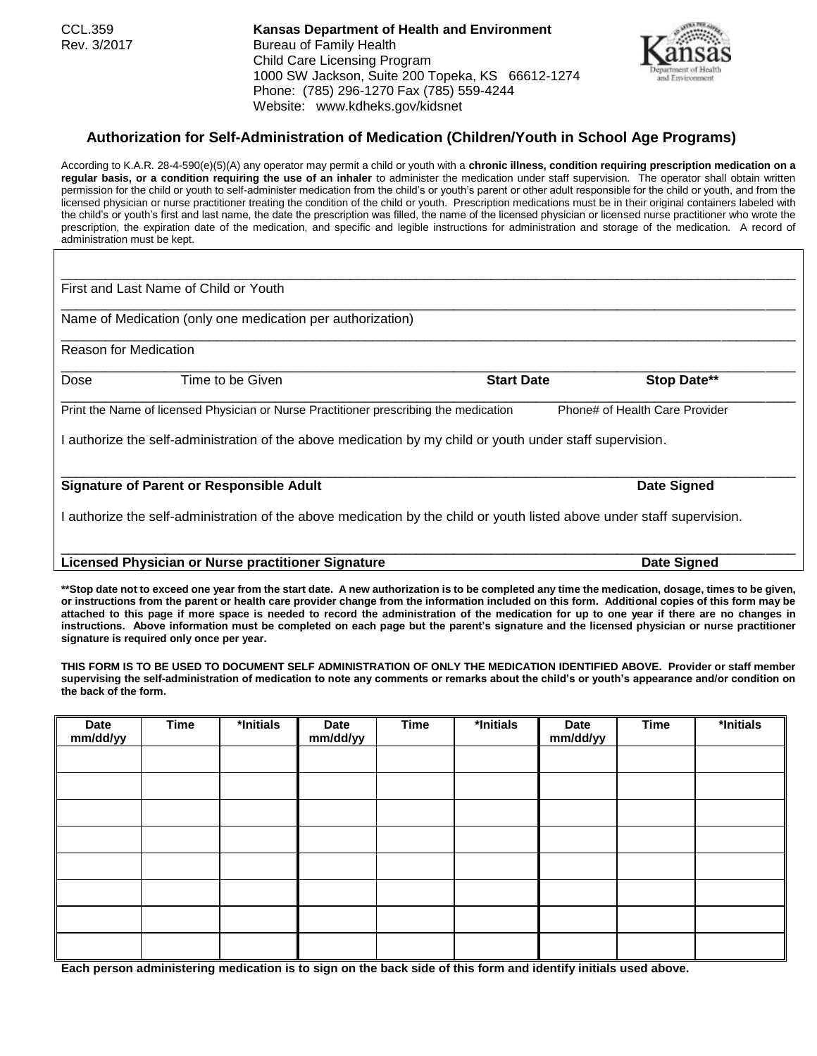CCL.359 **Kansas Department of Health and Environment** Rev. 3/2017 Bureau of Family Health Child Care Licensing Program 1000 SW Jackson, Suite 200 Topeka, KS 66612-1274 Phone: (785) 296-1270 Fax (785) 559-4244 Website: www.kdheks.gov/kidsnet

## **Authorization for Self-Administration of Medication (Children/Youth in School Age Programs)**

According to K.A.R. 28-4-590(e)(5)(A) any operator may permit a child or youth with a **chronic illness, condition requiring prescription medication on a regular basis, or a condition requiring the use of an inhaler** to administer the medication under staff supervision. The operator shall obtain written permission for the child or youth to self-administer medication from the child's or youth's parent or other adult responsible for the child or youth, and from the licensed physician or nurse practitioner treating the condition of the child or youth. Prescription medications must be in their original containers labeled with the child's or youth's first and last name, the date the prescription was filled, the name of the licensed physician or licensed nurse practitioner who wrote the prescription, the expiration date of the medication, and specific and legible instructions for administration and storage of the medication. A record of administration must be kept.

\_\_\_\_\_\_\_\_\_\_\_\_\_\_\_\_\_\_\_\_\_\_\_\_\_\_\_\_\_\_\_\_\_\_\_\_\_\_\_\_\_\_\_\_\_\_\_\_\_\_\_\_\_\_\_\_\_\_\_\_\_\_\_\_\_\_\_\_\_\_\_\_\_\_\_\_\_\_\_\_\_\_\_\_\_\_\_\_\_\_\_\_\_\_\_\_\_\_\_

\_\_\_\_\_\_\_\_\_\_\_\_\_\_\_\_\_\_\_\_\_\_\_\_\_\_\_\_\_\_\_\_\_\_\_\_\_\_\_\_\_\_\_\_\_\_\_\_\_\_\_\_\_\_\_\_\_\_\_\_\_\_\_\_\_\_\_\_\_\_\_\_\_\_\_\_\_\_\_\_\_\_\_\_\_\_\_\_\_\_\_\_\_\_\_\_\_\_\_

\_\_\_\_\_\_\_\_\_\_\_\_\_\_\_\_\_\_\_\_\_\_\_\_\_\_\_\_\_\_\_\_\_\_\_\_\_\_\_\_\_\_\_\_\_\_\_\_\_\_\_\_\_\_\_\_\_\_\_\_\_\_\_\_\_\_\_\_\_\_\_\_\_\_\_\_\_\_\_\_\_\_\_\_\_\_\_\_\_\_\_\_\_\_\_\_\_\_\_

\_\_\_\_\_\_\_\_\_\_\_\_\_\_\_\_\_\_\_\_\_\_\_\_\_\_\_\_\_\_\_\_\_\_\_\_\_\_\_\_\_\_\_\_\_\_\_\_\_\_\_\_\_\_\_\_\_\_\_\_\_\_\_\_\_\_\_\_\_\_\_\_\_\_\_\_\_\_\_\_\_\_\_\_\_\_\_\_\_\_\_\_\_\_\_\_\_\_\_

\_\_\_\_\_\_\_\_\_\_\_\_\_\_\_\_\_\_\_\_\_\_\_\_\_\_\_\_\_\_\_\_\_\_\_\_\_\_\_\_\_\_\_\_\_\_\_\_\_\_\_\_\_\_\_\_\_\_\_\_\_\_\_\_\_\_\_\_\_\_\_\_\_\_\_\_\_\_\_\_\_\_\_\_\_\_\_\_\_\_\_\_\_\_\_\_\_\_\_

First and Last Name of Child or Youth

Name of Medication (only one medication per authorization)

Reason for Medication

Dose **Time to be Given Start Date Start Date Stop Date\*\*** \_\_\_\_\_\_\_\_\_\_\_\_\_\_\_\_\_\_\_\_\_\_\_\_\_\_\_\_\_\_\_\_\_\_\_\_\_\_\_\_\_\_\_\_\_\_\_\_\_\_\_\_\_\_\_\_\_\_\_\_\_\_\_\_\_\_\_\_\_\_\_\_\_\_\_\_\_\_\_\_\_\_\_\_\_\_\_\_\_\_\_\_\_\_\_\_\_\_\_

Print the Name of licensed Physician or Nurse Practitioner prescribing the medication Phone# of Health Care Provider

I authorize the self-administration of the above medication by my child or youth under staff supervision.

## **Signature of Parent or Responsible Adult Adult Signature of Parent Signed** Date Signed

I authorize the self-administration of the above medication by the child or youth listed above under staff supervision.

## **Licensed Physician or Nurse practitioner Signature Date Signed**

**\*\*Stop date not to exceed one year from the start date. A new authorization is to be completed any time the medication, dosage, times to be given, or instructions from the parent or health care provider change from the information included on this form. Additional copies of this form may be attached to this page if more space is needed to record the administration of the medication for up to one year if there are no changes in instructions. Above information must be completed on each page but the parent's signature and the licensed physician or nurse practitioner signature is required only once per year.**

**THIS FORM IS TO BE USED TO DOCUMENT SELF ADMINISTRATION OF ONLY THE MEDICATION IDENTIFIED ABOVE. Provider or staff member supervising the self-administration of medication to note any comments or remarks about the child's or youth's appearance and/or condition on the back of the form.**

| Date<br>mm/dd/yy | <b>Time</b> | *Initials | Date<br>mm/dd/yy | <b>Time</b> | *Initials | Date<br>mm/dd/yy | <b>Time</b> | *Initials |
|------------------|-------------|-----------|------------------|-------------|-----------|------------------|-------------|-----------|
|                  |             |           |                  |             |           |                  |             |           |
|                  |             |           |                  |             |           |                  |             |           |
|                  |             |           |                  |             |           |                  |             |           |
|                  |             |           |                  |             |           |                  |             |           |
|                  |             |           |                  |             |           |                  |             |           |
|                  |             |           |                  |             |           |                  |             |           |
|                  |             |           |                  |             |           |                  |             |           |
|                  |             |           |                  |             |           |                  |             |           |

**Each person administering medication is to sign on the back side of this form and identify initials used above.**



\_\_\_\_\_\_\_\_\_\_\_\_\_\_\_\_\_\_\_\_\_\_\_\_\_\_\_\_\_\_\_\_\_\_\_\_\_\_\_\_\_\_\_\_\_\_\_\_\_\_\_\_\_\_\_\_\_\_\_\_\_\_\_\_\_\_\_\_\_\_\_\_\_\_\_\_\_\_\_\_\_\_\_\_\_\_\_\_\_\_\_\_\_\_\_\_\_\_\_